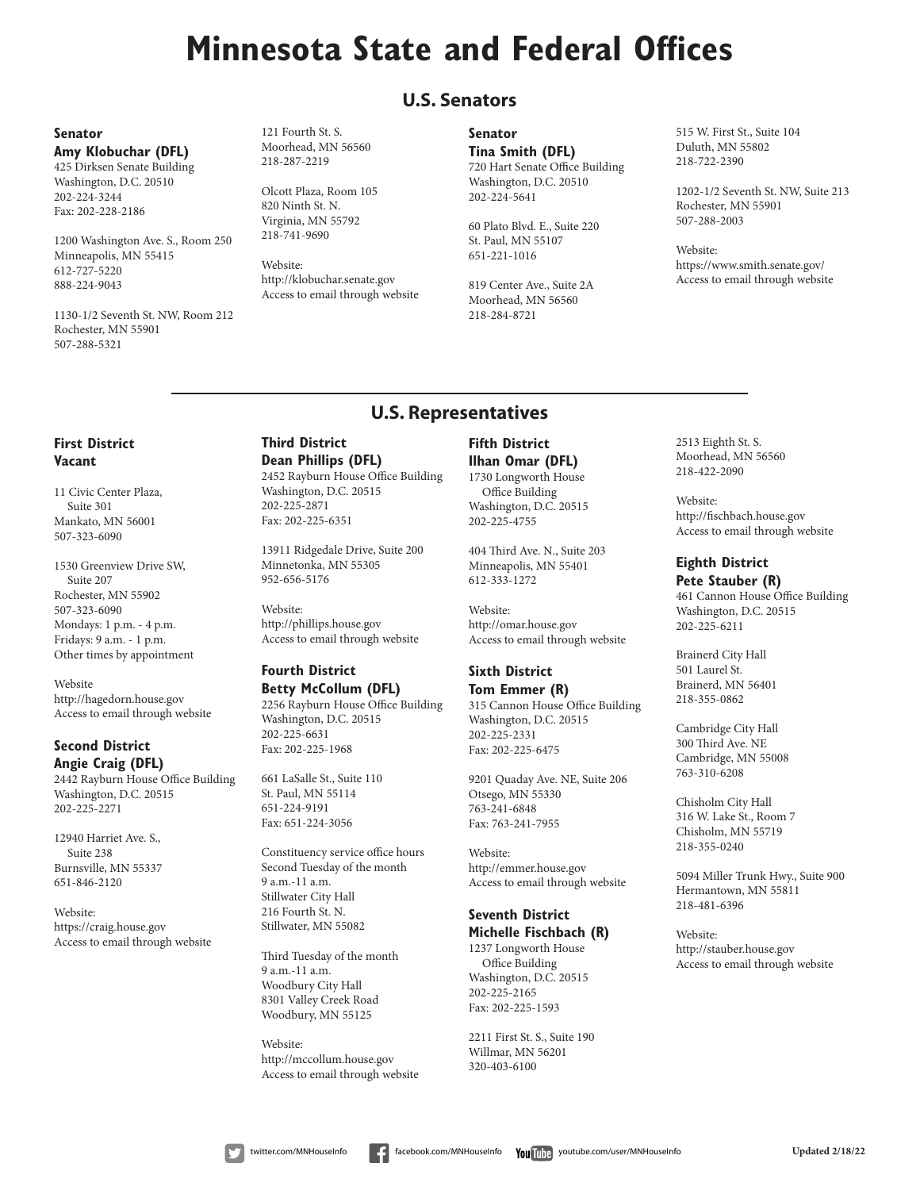# **Minnesota State and Federal Offices**

## **U.S. Senators**

#### **Senator Amy Klobuchar (DFL)**

425 Dirksen Senate Building Washington, D.C. 20510 202-224-3244 Fax: 202-228-2186

1200 Washington Ave. S., Room 250 Minneapolis, MN 55415 612-727-5220 888-224-9043

1130-1/2 Seventh St. NW, Room 212 Rochester, MN 55901 507-288-5321

121 Fourth St. S. Moorhead, MN 56560 218-287-2219

Olcott Plaza, Room 105 820 Ninth St. N. Virginia, MN 55792 218-741-9690

Website: http://klobuchar.senate.gov Access to email through website **Senator**

**Tina Smith (DFL)** 720 Hart Senate Office Building Washington, D.C. 20510 202-224-5641

60 Plato Blvd. E., Suite 220 St. Paul, MN 55107 651-221-1016

819 Center Ave., Suite 2A Moorhead, MN 56560 218-284-8721

515 W. First St., Suite 104 Duluth, MN 55802 218-722-2390

1202-1/2 Seventh St. NW, Suite 213 Rochester, MN 55901 507-288-2003

Website: https://www.smith.senate.gov/ Access to email through website

## **U.S. Representatives**

#### **First District Vacant**

11 Civic Center Plaza, Suite 301 Mankato, MN 56001 507-323-6090

1530 Greenview Drive SW, Suite 207 Rochester, MN 55902 507-323-6090 Mondays: 1 p.m. - 4 p.m. Fridays: 9 a.m. - 1 p.m. Other times by appointment

Website http://hagedorn.house.gov Access to email through website

#### **Second District Angie Craig (DFL)**

2442 Rayburn House Office Building Washington, D.C. 20515 202-225-2271

12940 Harriet Ave. S., Suite 238 Burnsville, MN 55337 651-846-2120

Website: https://craig.house.gov Access to email through website

#### **Third District Dean Phillips (DFL)** 2452 Rayburn House Office Building

Washington, D.C. 20515 202-225-2871 Fax: 202-225-6351

13911 Ridgedale Drive, Suite 200 Minnetonka, MN 55305 952-656-5176

Website: http://phillips.house.gov Access to email through website

#### **Fourth District Betty McCollum (DFL)**

2256 Rayburn House Office Building Washington, D.C. 20515 202-225-6631 Fax: 202-225-1968

661 LaSalle St., Suite 110 St. Paul, MN 55114 651-224-9191 Fax: 651-224-3056

Constituency service office hours Second Tuesday of the month 9 a.m.-11 a.m. Stillwater City Hall 216 Fourth St. N. Stillwater, MN 55082

Third Tuesday of the month 9 a.m.-11 a.m. Woodbury City Hall 8301 Valley Creek Road Woodbury, MN 55125

Website: http://mccollum.house.gov Access to email through website

#### **Fifth District Ilhan Omar (DFL)** 1730 Longworth House

Office Building Washington, D.C. 20515 202-225-4755

404 Third Ave. N., Suite 203 Minneapolis, MN 55401 612-333-1272

Website: http://omar.house.gov Access to email through website

#### **Sixth District Tom Emmer (R)**

315 Cannon House Office Building Washington, D.C. 20515 202-225-2331 Fax: 202-225-6475

9201 Quaday Ave. NE, Suite 206 Otsego, MN 55330 763-241-6848 Fax: 763-241-7955

Website: http://emmer.house.gov Access to email through website

#### **Seventh District Michelle Fischbach (R)**

1237 Longworth House Office Building Washington, D.C. 20515 202-225-2165 Fax: 202-225-1593

2211 First St. S., Suite 190 Willmar, MN 56201 320-403-6100

2513 Eighth St. S. Moorhead, MN 56560 218-422-2090

Website: http://fischbach.house.gov Access to email through website

#### **Eighth District Pete Stauber (R)**

461 Cannon House Office Building Washington, D.C. 20515 202-225-6211

Brainerd City Hall 501 Laurel St. Brainerd, MN 56401 218-355-0862

Cambridge City Hall 300 Third Ave. NE Cambridge, MN 55008 763-310-6208

Chisholm City Hall 316 W. Lake St., Room 7 Chisholm, MN 55719 218-355-0240

5094 Miller Trunk Hwy., Suite 900 Hermantown, MN 55811 218-481-6396

Website: http://stauber.house.gov Access to email through website